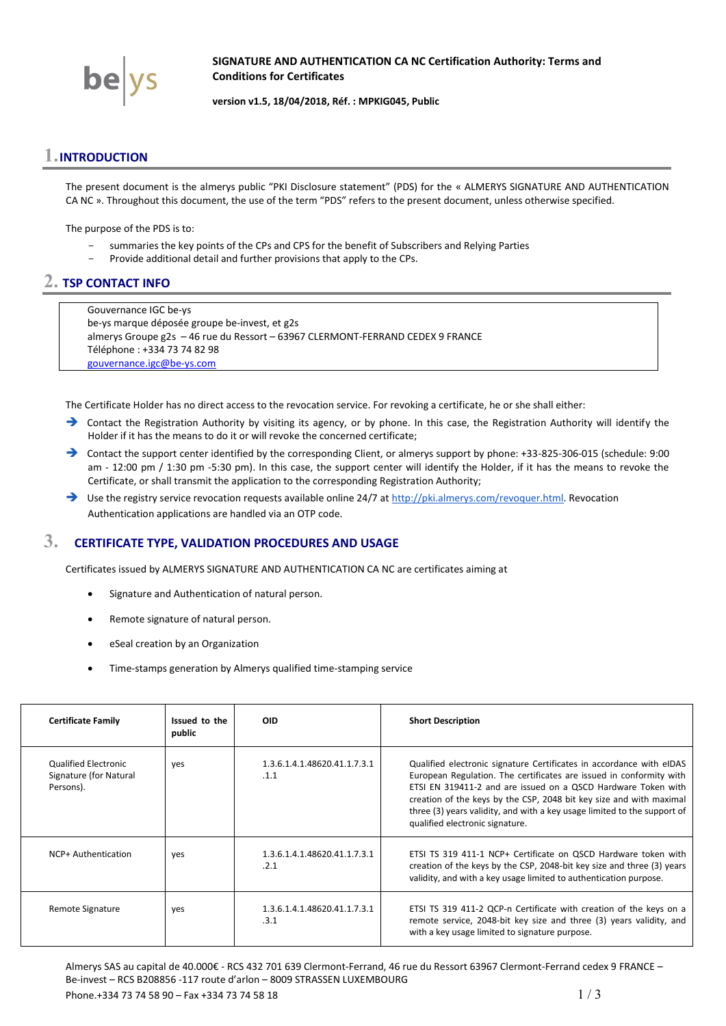

**SIGNATURE AND AUTHENTICATION CA NC Certification Authority: Terms and Conditions for Certificates**

<span id="page-0-0"></span>**version v1.5, 18/04/2018, Réf. : MPKIG045, Public**

## **1.INTRODUCTION**

The present document is the almerys public "PKI Disclosure statement" (PDS) for the « ALMERYS SIGNATURE AND AUTHENTICATION CA NC ». Throughout this document, the use of the term "PDS" refers to the present document, unless otherwise specified.

The purpose of the PDS is to:

- summaries the key points of the CPs and CPS for the benefit of Subscribers and Relying Parties
	- Provide additional detail and further provisions that apply to the CPs.

## **2. TSP CONTACT INFO**

Gouvernance IGC be-ys be-ys marque déposée groupe be-invest, et g2s almerys Groupe g2s – 46 rue du Ressort – 63967 CLERMONT-FERRAND CEDEX 9 FRANCE Téléphone : +334 73 74 82 98 [gouvernance.igc@be-ys.com](mailto:gouvernance.igc@be-ys.com)

The Certificate Holder has no direct access to the revocation service. For revoking a certificate, he or she shall either:

- → Contact the Registration Authority by visiting its agency, or by phone. In this case, the Registration Authority will identify the Holder if it has the means to do it or will revoke the concerned certificate;
- Contact the support center identified by the corresponding Client, or almerys support by phone: +33-825-306-015 (schedule: 9:00 am - 12:00 pm / 1:30 pm -5:30 pm). In this case, the support center will identify the Holder, if it has the means to revoke the Certificate, or shall transmit the application to the corresponding Registration Authority;
- → Use the registry service revocation requests available online 24/7 a[t http://pki.almerys.com/revoquer.html.](http://pki.almerys.com/revoquer.html) Revocation Authentication applications are handled via an OTP code.

# <span id="page-0-1"></span>**3. CERTIFICATE TYPE, VALIDATION PROCEDURES AND USAGE**

Certificates issued b[y ALMERYS SIGNATURE AND AUTHENTICATION CA NC](#page-0-0) are certificates aiming at

- Signature and Authentication of natural person.
- Remote signature of natural person.
- eSeal creation by an Organization
- Time-stamps generation by Almerys qualified time-stamping service

| <b>Certificate Family</b>                                          | Issued to the<br>public | <b>OID</b>                           | <b>Short Description</b>                                                                                                                                                                                                                                                                                                                                                                           |
|--------------------------------------------------------------------|-------------------------|--------------------------------------|----------------------------------------------------------------------------------------------------------------------------------------------------------------------------------------------------------------------------------------------------------------------------------------------------------------------------------------------------------------------------------------------------|
| <b>Qualified Electronic</b><br>Signature (for Natural<br>Persons). | yes                     | 1.3.6.1.4.1.48620.41.1.7.3.1<br>.1.1 | Qualified electronic signature Certificates in accordance with eIDAS<br>European Regulation. The certificates are issued in conformity with<br>ETSI EN 319411-2 and are issued on a QSCD Hardware Token with<br>creation of the keys by the CSP, 2048 bit key size and with maximal<br>three (3) years validity, and with a key usage limited to the support of<br>qualified electronic signature. |
| NCP+ Authentication                                                | yes                     | 1.3.6.1.4.1.48620.41.1.7.3.1<br>.2.1 | ETSI TS 319 411-1 NCP+ Certificate on QSCD Hardware token with<br>creation of the keys by the CSP, 2048-bit key size and three (3) years<br>validity, and with a key usage limited to authentication purpose.                                                                                                                                                                                      |
| Remote Signature                                                   | yes                     | 1.3.6.1.4.1.48620.41.1.7.3.1<br>.3.1 | ETSI TS 319 411-2 QCP-n Certificate with creation of the keys on a<br>remote service, 2048-bit key size and three (3) years validity, and<br>with a key usage limited to signature purpose.                                                                                                                                                                                                        |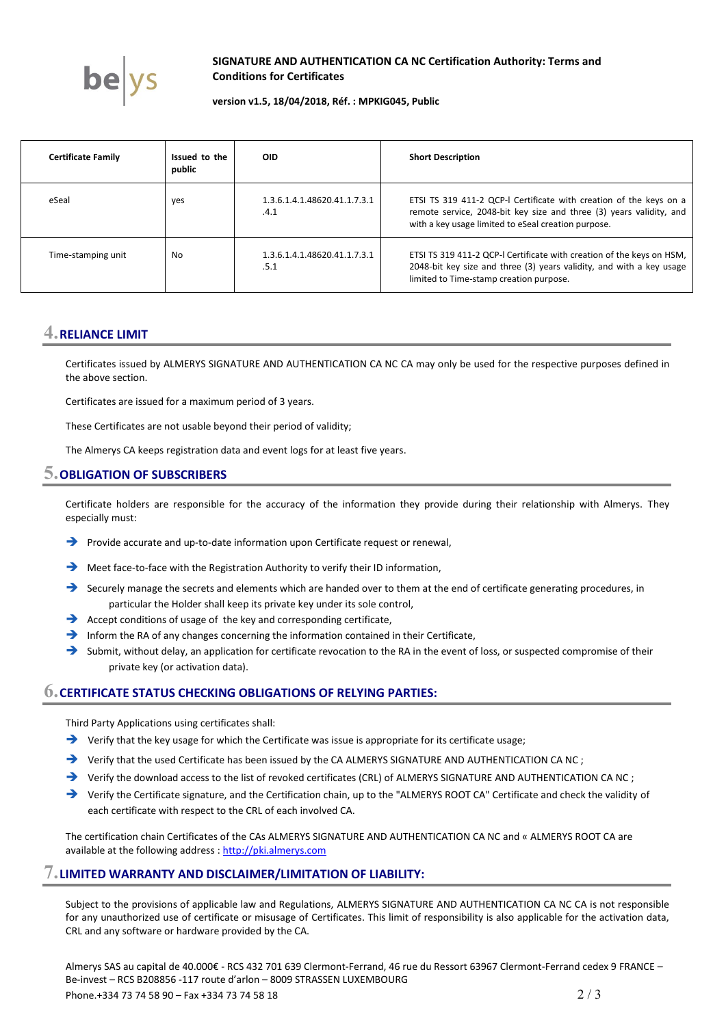

### **SIGNATURE AND AUTHENTICATION CA NC Certification Authority: Terms and Conditions for Certificates**

#### **version v1.5, 18/04/2018, Réf. : MPKIG045, Public**

| <b>Certificate Family</b> | Issued to the<br>public | <b>OID</b>                           | <b>Short Description</b>                                                                                                                                                                         |
|---------------------------|-------------------------|--------------------------------------|--------------------------------------------------------------------------------------------------------------------------------------------------------------------------------------------------|
| eSeal                     | yes                     | 1.3.6.1.4.1.48620.41.1.7.3.1<br>.4.1 | ETSI TS 319 411-2 QCP-I Certificate with creation of the keys on a<br>remote service, 2048-bit key size and three (3) years validity, and<br>with a key usage limited to eSeal creation purpose. |
| Time-stamping unit        | No                      | 1.3.6.1.4.1.48620.41.1.7.3.1<br>.5.1 | ETSI TS 319 411-2 QCP-I Certificate with creation of the keys on HSM,<br>2048-bit key size and three (3) years validity, and with a key usage<br>limited to Time-stamp creation purpose.         |

# **4.RELIANCE LIMIT**

Certificates issued by [ALMERYS SIGNATURE AND AUTHENTICATION CA NC](#page-0-0) CA may only be used for the respective purposes defined in the above section.

Certificates are issued for a maximum period of 3 years.

These Certificates are not usable beyond their period of validity;

The Almerys CA keeps registration data and event logs for at least five years.

### **5.OBLIGATION OF SUBSCRIBERS**

Certificate holders are responsible for the accuracy of the information they provide during their relationship with Almerys. They especially must:

- Provide accurate and up-to-date information upon Certificate request or renewal,
- Meet face-to-face with the Registration Authority to verify their ID information,
- Securely manage the secrets and elements which are handed over to them at the end of certificate generating procedures, in particular the Holder shall keep its private key under its sole control,
- Accept conditions of usage of the key and corresponding certificate,
- Inform the RA of any changes concerning the information contained in their Certificate,
- $\rightarrow$  Submit, without delay, an application for certificate revocation to the RA in the event of loss, or suspected compromise of their private key (or activation data).

### **6.CERTIFICATE STATUS CHECKING OBLIGATIONS OF RELYING PARTIES:**

Third Party Applications using certificates shall:

- $\rightarrow$  Verify that the key usage for which the Certificate was issue is appropriate for its certificate usage;
- → Verify that the used Certificate has been issued by the C[A ALMERYS SIGNATURE AND AUTHENTICATION CA NC](#page-0-0);
- → Verify the download access to the list of revoked certificates (CRL) of [ALMERYS SIGNATURE AND AUTHENTICATION CA NC](#page-0-0);
- Verify the Certificate signature, and the Certification chain, up to the "ALMERYS ROOT CA" Certificate and check the validity of each certificate with respect to the CRL of each involved CA.

The certification chain Certificates of the CAs [ALMERYS SIGNATURE AND AUTHENTICATION CA NC](#page-0-0) and « ALMERYS ROOT CA are available at the following address : http://pki.almerys.com

### **7.LIMITED WARRANTY AND DISCLAIMER/LIMITATION OF LIABILITY:**

Subject to the provisions of applicable law and Regulations, [ALMERYS SIGNATURE AND AUTHENTICATION CA NC](#page-0-0) CA is not responsible for any unauthorized use of certificate or misusage of Certificates. This limit of responsibility is also applicable for the activation data, CRL and any software or hardware provided by the CA.

Almerys SAS au capital de 40.000€ - RCS 432 701 639 Clermont-Ferrand, 46 rue du Ressort 63967 Clermont-Ferrand cedex 9 FRANCE – Be-invest – RCS B208856 -117 route d'arlon – 8009 STRASSEN LUXEMBOURG Phone.+334 73 74 58 90 – Fax +334 73 74 58 18 2 / 3